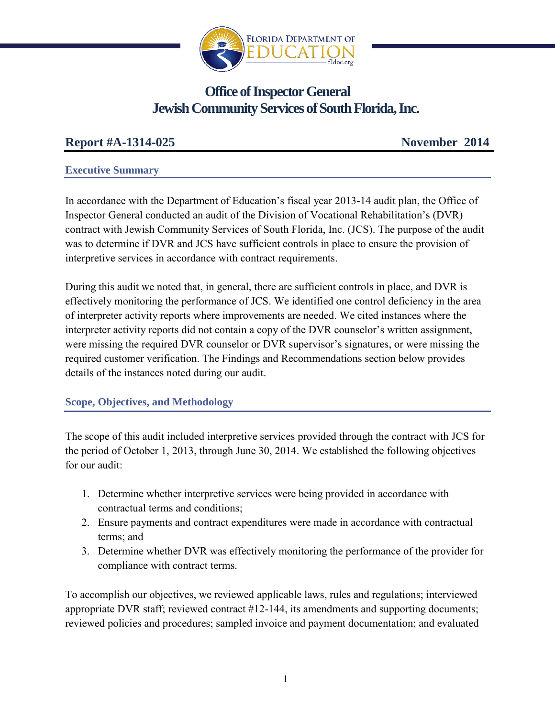

# **Office of Inspector General Jewish Community Services of South Florida, Inc.**

# **Report #A-1314-025 November 2014**

#### **Executive Summary**

In accordance with the Department of Education's fiscal year 2013-14 audit plan, the Office of Inspector General conducted an audit of the Division of Vocational Rehabilitation's (DVR) contract with Jewish Community Services of South Florida, Inc. (JCS). The purpose of the audit was to determine if DVR and JCS have sufficient controls in place to ensure the provision of interpretive services in accordance with contract requirements.

During this audit we noted that, in general, there are sufficient controls in place, and DVR is effectively monitoring the performance of JCS. We identified one control deficiency in the area of interpreter activity reports where improvements are needed. We cited instances where the interpreter activity reports did not contain a copy of the DVR counselor's written assignment, were missing the required DVR counselor or DVR supervisor's signatures, or were missing the required customer verification. The Findings and Recommendations section below provides details of the instances noted during our audit.

# **Scope, Objectives, and Methodology**

The scope of this audit included interpretive services provided through the contract with JCS for the period of October 1, 2013, through June 30, 2014. We established the following objectives for our audit:

- 1. Determine whether interpretive services were being provided in accordance with contractual terms and conditions;
- 2. Ensure payments and contract expenditures were made in accordance with contractual terms; and
- 3. Determine whether DVR was effectively monitoring the performance of the provider for compliance with contract terms.

To accomplish our objectives, we reviewed applicable laws, rules and regulations; interviewed appropriate DVR staff; reviewed contract #12-144, its amendments and supporting documents; reviewed policies and procedures; sampled invoice and payment documentation; and evaluated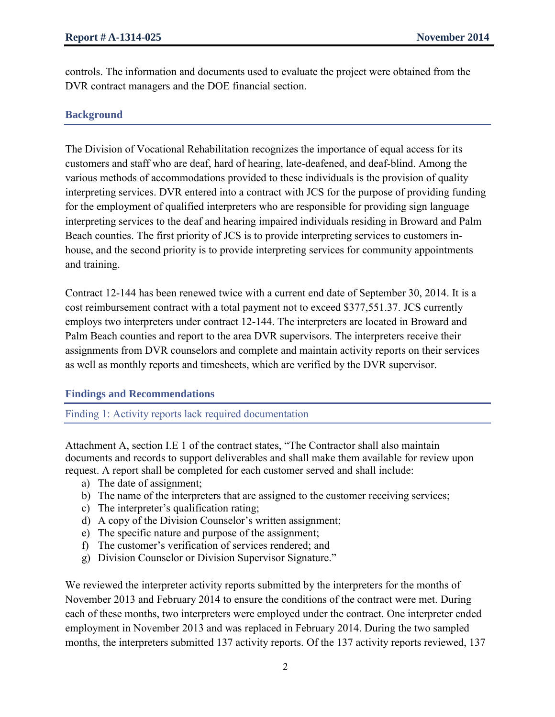controls. The information and documents used to evaluate the project were obtained from the DVR contract managers and the DOE financial section.

#### **Background**

The Division of Vocational Rehabilitation recognizes the importance of equal access for its customers and staff who are deaf, hard of hearing, late-deafened, and deaf-blind. Among the various methods of accommodations provided to these individuals is the provision of quality interpreting services. DVR entered into a contract with JCS for the purpose of providing funding for the employment of qualified interpreters who are responsible for providing sign language interpreting services to the deaf and hearing impaired individuals residing in Broward and Palm Beach counties. The first priority of JCS is to provide interpreting services to customers inhouse, and the second priority is to provide interpreting services for community appointments and training.

Contract 12-144 has been renewed twice with a current end date of September 30, 2014. It is a cost reimbursement contract with a total payment not to exceed \$377,551.37. JCS currently employs two interpreters under contract 12-144. The interpreters are located in Broward and Palm Beach counties and report to the area DVR supervisors. The interpreters receive their assignments from DVR counselors and complete and maintain activity reports on their services as well as monthly reports and timesheets, which are verified by the DVR supervisor.

#### **Findings and Recommendations**

Finding 1: Activity reports lack required documentation

Attachment A, section I.E 1 of the contract states, "The Contractor shall also maintain documents and records to support deliverables and shall make them available for review upon request. A report shall be completed for each customer served and shall include:

- a) The date of assignment;
- b) The name of the interpreters that are assigned to the customer receiving services;
- c) The interpreter's qualification rating;
- d) A copy of the Division Counselor's written assignment;
- e) The specific nature and purpose of the assignment;
- f) The customer's verification of services rendered; and
- g) Division Counselor or Division Supervisor Signature."

We reviewed the interpreter activity reports submitted by the interpreters for the months of November 2013 and February 2014 to ensure the conditions of the contract were met. During each of these months, two interpreters were employed under the contract. One interpreter ended employment in November 2013 and was replaced in February 2014. During the two sampled months, the interpreters submitted 137 activity reports. Of the 137 activity reports reviewed, 137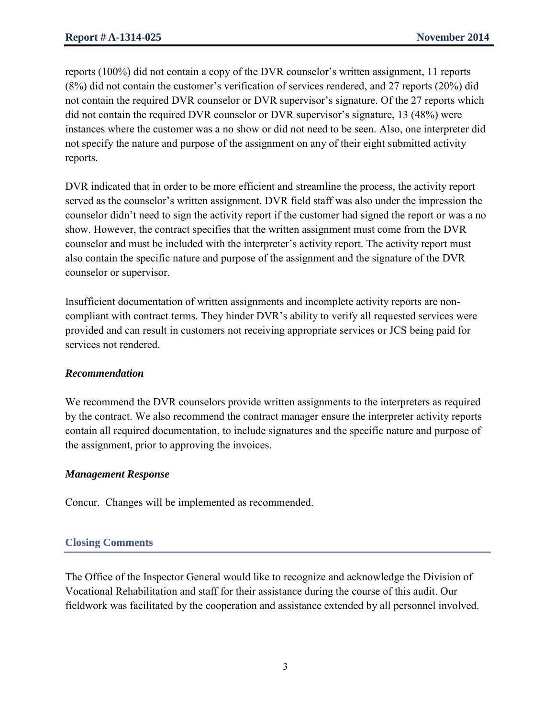reports (100%) did not contain a copy of the DVR counselor's written assignment, 11 reports (8%) did not contain the customer's verification of services rendered, and 27 reports (20%) did not contain the required DVR counselor or DVR supervisor's signature. Of the 27 reports which did not contain the required DVR counselor or DVR supervisor's signature, 13 (48%) were instances where the customer was a no show or did not need to be seen. Also, one interpreter did not specify the nature and purpose of the assignment on any of their eight submitted activity reports.

DVR indicated that in order to be more efficient and streamline the process, the activity report served as the counselor's written assignment. DVR field staff was also under the impression the counselor didn't need to sign the activity report if the customer had signed the report or was a no show. However, the contract specifies that the written assignment must come from the DVR counselor and must be included with the interpreter's activity report. The activity report must also contain the specific nature and purpose of the assignment and the signature of the DVR counselor or supervisor.

Insufficient documentation of written assignments and incomplete activity reports are noncompliant with contract terms. They hinder DVR's ability to verify all requested services were provided and can result in customers not receiving appropriate services or JCS being paid for services not rendered.

# *Recommendation*

We recommend the DVR counselors provide written assignments to the interpreters as required by the contract. We also recommend the contract manager ensure the interpreter activity reports contain all required documentation, to include signatures and the specific nature and purpose of the assignment, prior to approving the invoices.

#### *Management Response*

Concur. Changes will be implemented as recommended.

# **Closing Comments**

The Office of the Inspector General would like to recognize and acknowledge the Division of Vocational Rehabilitation and staff for their assistance during the course of this audit. Our fieldwork was facilitated by the cooperation and assistance extended by all personnel involved.